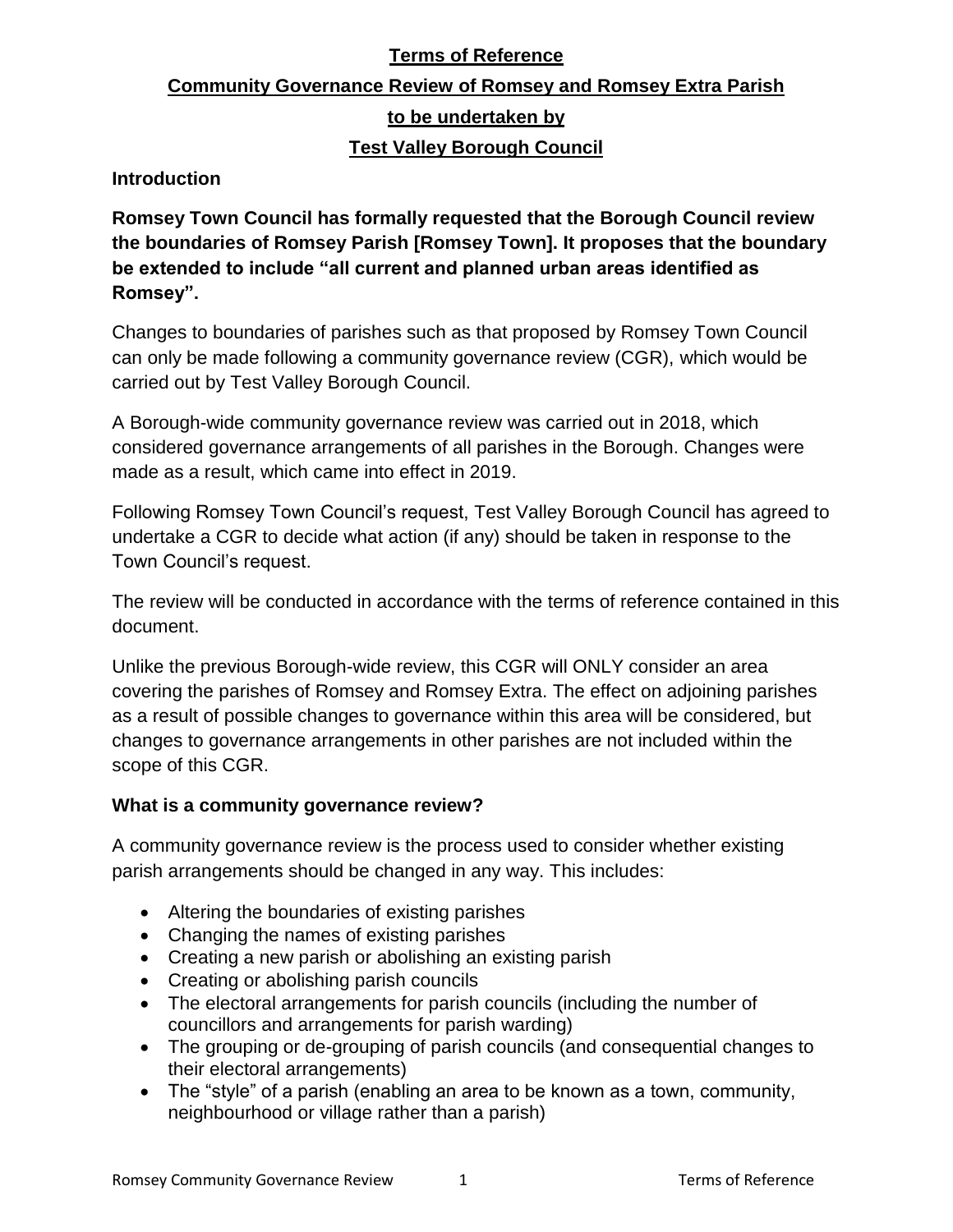## **Terms of Reference**

# **Community Governance Review of Romsey and Romsey Extra Parish to be undertaken by Test Valley Borough Council**

**Introduction**

**Romsey Town Council has formally requested that the Borough Council review the boundaries of Romsey Parish [Romsey Town]. It proposes that the boundary be extended to include "all current and planned urban areas identified as Romsey".**

Changes to boundaries of parishes such as that proposed by Romsey Town Council can only be made following a community governance review (CGR), which would be carried out by Test Valley Borough Council.

A Borough-wide community governance review was carried out in 2018, which considered governance arrangements of all parishes in the Borough. Changes were made as a result, which came into effect in 2019.

Following Romsey Town Council's request, Test Valley Borough Council has agreed to undertake a CGR to decide what action (if any) should be taken in response to the Town Council's request.

The review will be conducted in accordance with the terms of reference contained in this document.

Unlike the previous Borough-wide review, this CGR will ONLY consider an area covering the parishes of Romsey and Romsey Extra. The effect on adjoining parishes as a result of possible changes to governance within this area will be considered, but changes to governance arrangements in other parishes are not included within the scope of this CGR.

#### **What is a community governance review?**

A community governance review is the process used to consider whether existing parish arrangements should be changed in any way. This includes:

- Altering the boundaries of existing parishes
- Changing the names of existing parishes
- Creating a new parish or abolishing an existing parish
- Creating or abolishing parish councils
- The electoral arrangements for parish councils (including the number of councillors and arrangements for parish warding)
- The grouping or de-grouping of parish councils (and consequential changes to their electoral arrangements)
- The "style" of a parish (enabling an area to be known as a town, community, neighbourhood or village rather than a parish)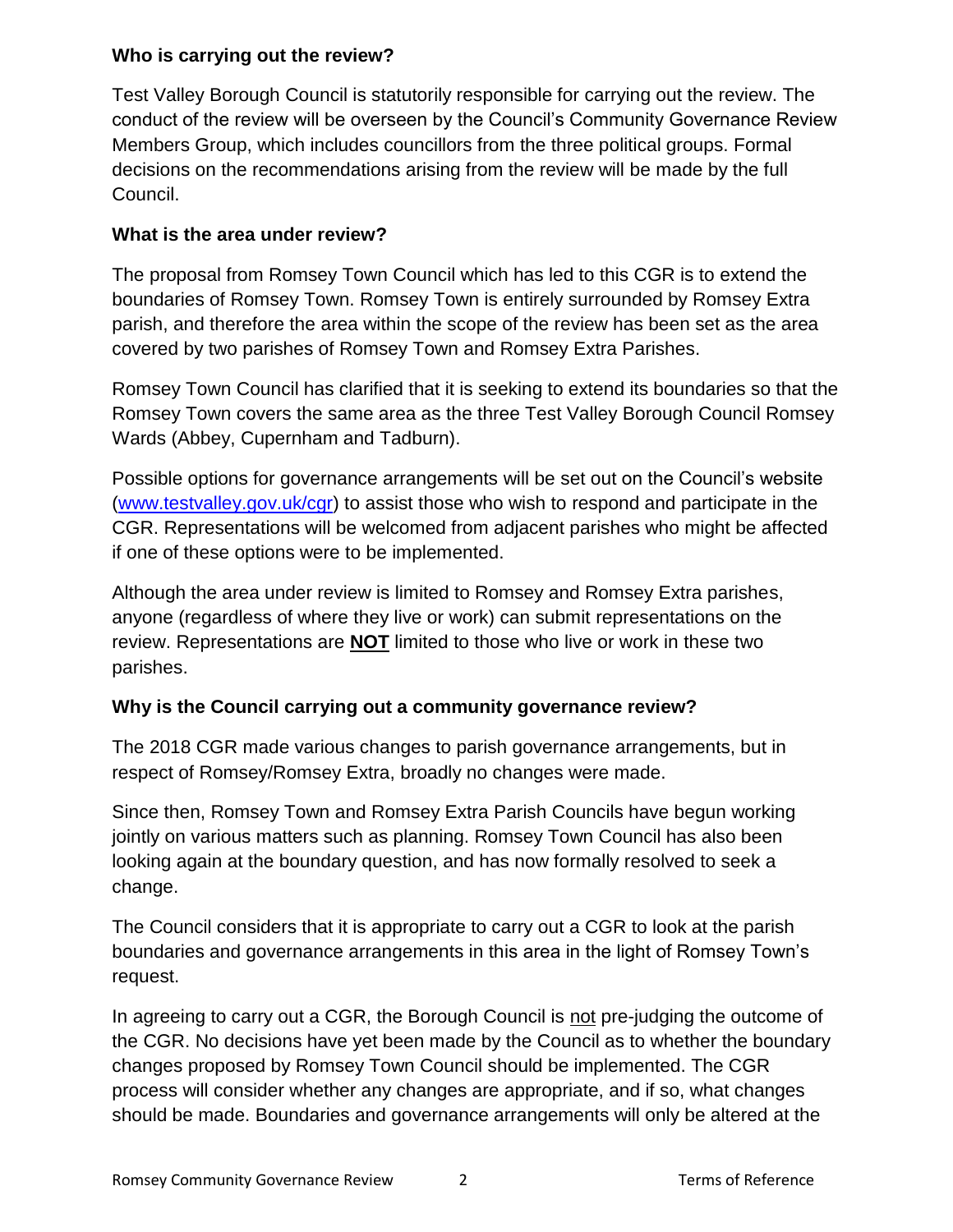#### **Who is carrying out the review?**

Test Valley Borough Council is statutorily responsible for carrying out the review. The conduct of the review will be overseen by the Council's Community Governance Review Members Group, which includes councillors from the three political groups. Formal decisions on the recommendations arising from the review will be made by the full Council.

#### **What is the area under review?**

The proposal from Romsey Town Council which has led to this CGR is to extend the boundaries of Romsey Town. Romsey Town is entirely surrounded by Romsey Extra parish, and therefore the area within the scope of the review has been set as the area covered by two parishes of Romsey Town and Romsey Extra Parishes.

Romsey Town Council has clarified that it is seeking to extend its boundaries so that the Romsey Town covers the same area as the three Test Valley Borough Council Romsey Wards (Abbey, Cupernham and Tadburn).

Possible options for governance arrangements will be set out on the Council's website [\(www.testvalley.gov.uk/cgr\)](http://www.testvalley.gov.uk/cgr) to assist those who wish to respond and participate in the CGR. Representations will be welcomed from adjacent parishes who might be affected if one of these options were to be implemented.

Although the area under review is limited to Romsey and Romsey Extra parishes, anyone (regardless of where they live or work) can submit representations on the review. Representations are **NOT** limited to those who live or work in these two parishes.

#### **Why is the Council carrying out a community governance review?**

The 2018 CGR made various changes to parish governance arrangements, but in respect of Romsey/Romsey Extra, broadly no changes were made.

Since then, Romsey Town and Romsey Extra Parish Councils have begun working jointly on various matters such as planning. Romsey Town Council has also been looking again at the boundary question, and has now formally resolved to seek a change.

The Council considers that it is appropriate to carry out a CGR to look at the parish boundaries and governance arrangements in this area in the light of Romsey Town's request.

In agreeing to carry out a CGR, the Borough Council is not pre-judging the outcome of the CGR. No decisions have yet been made by the Council as to whether the boundary changes proposed by Romsey Town Council should be implemented. The CGR process will consider whether any changes are appropriate, and if so, what changes should be made. Boundaries and governance arrangements will only be altered at the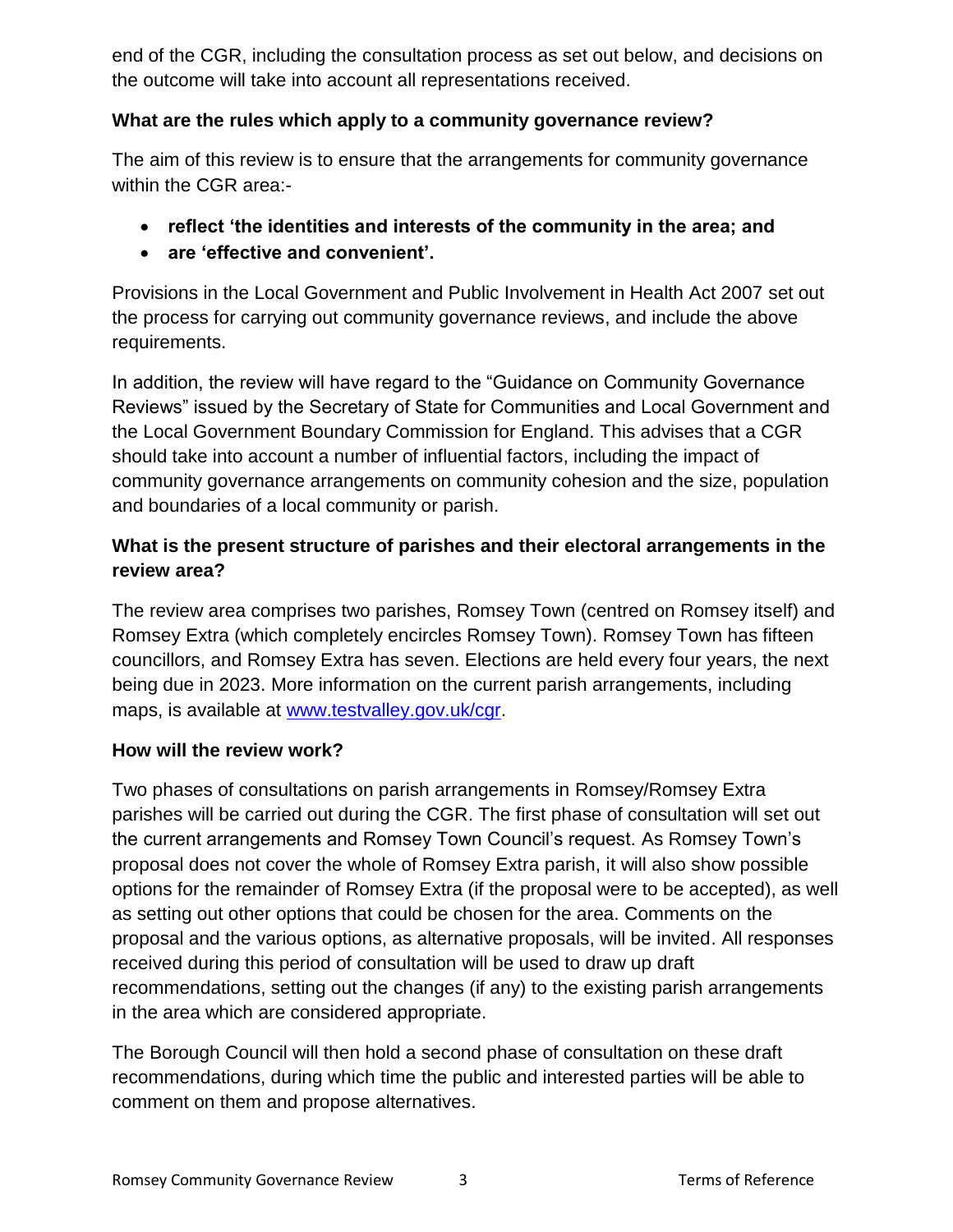end of the CGR, including the consultation process as set out below, and decisions on the outcome will take into account all representations received.

### **What are the rules which apply to a community governance review?**

The aim of this review is to ensure that the arrangements for community governance within the CGR area:-

- **reflect 'the identities and interests of the community in the area; and**
- **are 'effective and convenient'.**

Provisions in the Local Government and Public Involvement in Health Act 2007 set out the process for carrying out community governance reviews, and include the above requirements.

In addition, the review will have regard to the "Guidance on Community Governance Reviews" issued by the Secretary of State for Communities and Local Government and the Local Government Boundary Commission for England. This advises that a CGR should take into account a number of influential factors, including the impact of community governance arrangements on community cohesion and the size, population and boundaries of a local community or parish.

# **What is the present structure of parishes and their electoral arrangements in the review area?**

The review area comprises two parishes, Romsey Town (centred on Romsey itself) and Romsey Extra (which completely encircles Romsey Town). Romsey Town has fifteen councillors, and Romsey Extra has seven. Elections are held every four years, the next being due in 2023. More information on the current parish arrangements, including maps, is available at [www.testvalley.gov.uk/cgr.](http://www.testvalley.gov.uk/cgr)

## **How will the review work?**

Two phases of consultations on parish arrangements in Romsey/Romsey Extra parishes will be carried out during the CGR. The first phase of consultation will set out the current arrangements and Romsey Town Council's request. As Romsey Town's proposal does not cover the whole of Romsey Extra parish, it will also show possible options for the remainder of Romsey Extra (if the proposal were to be accepted), as well as setting out other options that could be chosen for the area. Comments on the proposal and the various options, as alternative proposals, will be invited. All responses received during this period of consultation will be used to draw up draft recommendations, setting out the changes (if any) to the existing parish arrangements in the area which are considered appropriate.

The Borough Council will then hold a second phase of consultation on these draft recommendations, during which time the public and interested parties will be able to comment on them and propose alternatives.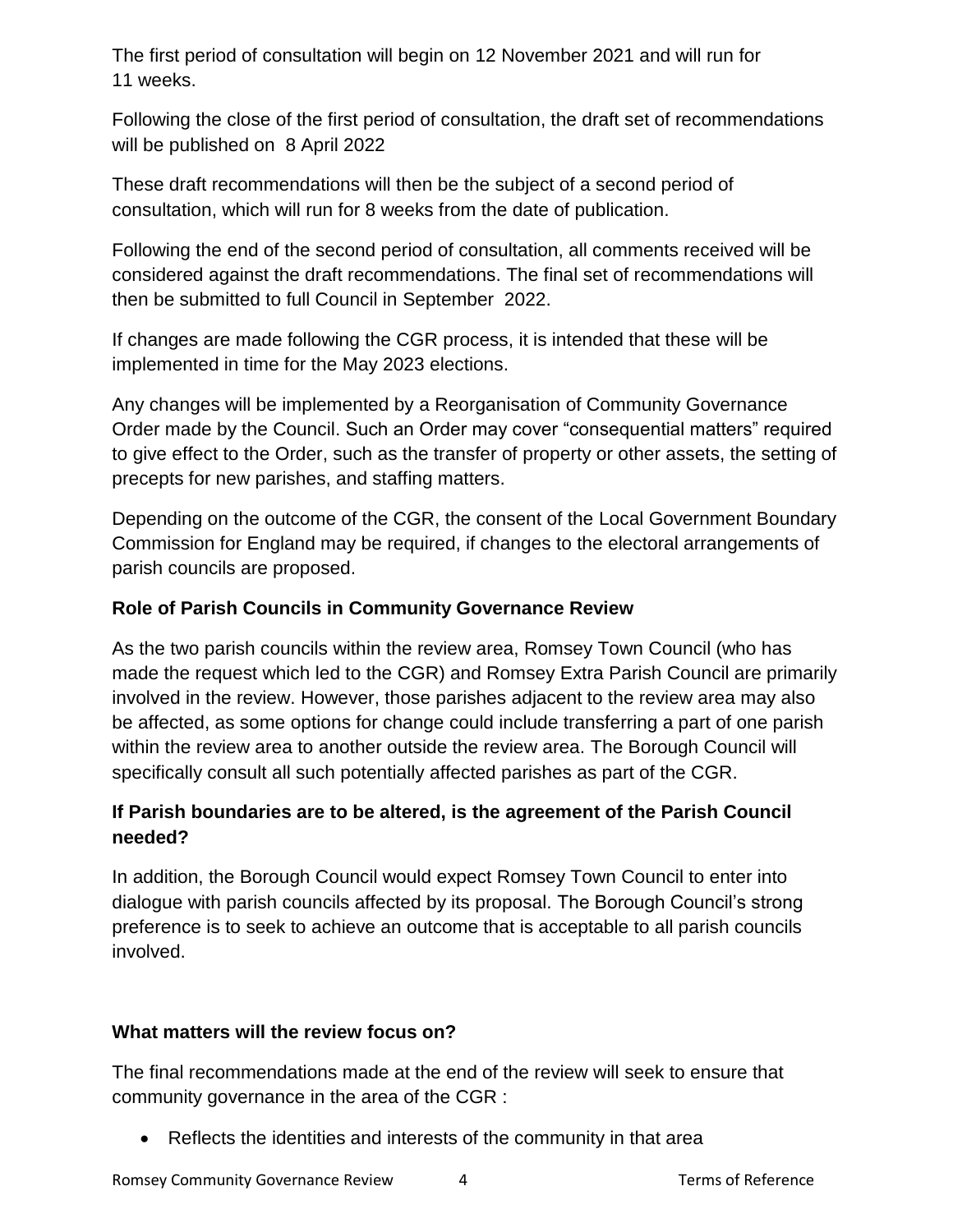The first period of consultation will begin on 12 November 2021 and will run for 11 weeks.

Following the close of the first period of consultation, the draft set of recommendations will be published on 8 April 2022

These draft recommendations will then be the subject of a second period of consultation, which will run for 8 weeks from the date of publication.

Following the end of the second period of consultation, all comments received will be considered against the draft recommendations. The final set of recommendations will then be submitted to full Council in September 2022.

If changes are made following the CGR process, it is intended that these will be implemented in time for the May 2023 elections.

Any changes will be implemented by a Reorganisation of Community Governance Order made by the Council. Such an Order may cover "consequential matters" required to give effect to the Order, such as the transfer of property or other assets, the setting of precepts for new parishes, and staffing matters.

Depending on the outcome of the CGR, the consent of the Local Government Boundary Commission for England may be required, if changes to the electoral arrangements of parish councils are proposed.

### **Role of Parish Councils in Community Governance Review**

As the two parish councils within the review area, Romsey Town Council (who has made the request which led to the CGR) and Romsey Extra Parish Council are primarily involved in the review. However, those parishes adjacent to the review area may also be affected, as some options for change could include transferring a part of one parish within the review area to another outside the review area. The Borough Council will specifically consult all such potentially affected parishes as part of the CGR.

## **If Parish boundaries are to be altered, is the agreement of the Parish Council needed?**

In addition, the Borough Council would expect Romsey Town Council to enter into dialogue with parish councils affected by its proposal. The Borough Council's strong preference is to seek to achieve an outcome that is acceptable to all parish councils involved.

#### **What matters will the review focus on?**

The final recommendations made at the end of the review will seek to ensure that community governance in the area of the CGR :

Reflects the identities and interests of the community in that area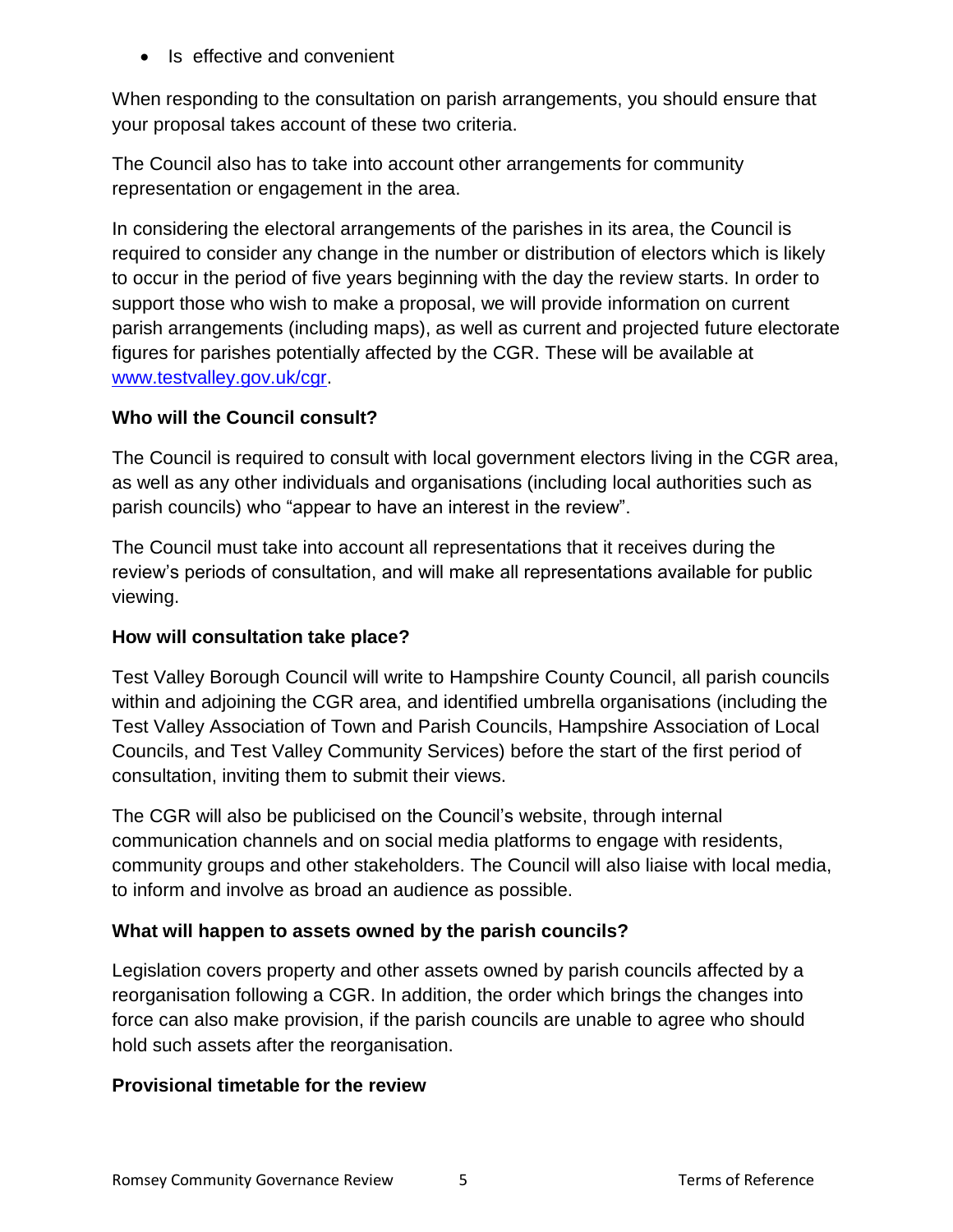• Is effective and convenient

When responding to the consultation on parish arrangements, you should ensure that your proposal takes account of these two criteria.

The Council also has to take into account other arrangements for community representation or engagement in the area.

In considering the electoral arrangements of the parishes in its area, the Council is required to consider any change in the number or distribution of electors which is likely to occur in the period of five years beginning with the day the review starts. In order to support those who wish to make a proposal, we will provide information on current parish arrangements (including maps), as well as current and projected future electorate figures for parishes potentially affected by the CGR. These will be available at [www.testvalley.gov.uk/cgr.](http://www.testvalley.gov.uk/cgr)

#### **Who will the Council consult?**

The Council is required to consult with local government electors living in the CGR area, as well as any other individuals and organisations (including local authorities such as parish councils) who "appear to have an interest in the review".

The Council must take into account all representations that it receives during the review's periods of consultation, and will make all representations available for public viewing.

## **How will consultation take place?**

Test Valley Borough Council will write to Hampshire County Council, all parish councils within and adjoining the CGR area, and identified umbrella organisations (including the Test Valley Association of Town and Parish Councils, Hampshire Association of Local Councils, and Test Valley Community Services) before the start of the first period of consultation, inviting them to submit their views.

The CGR will also be publicised on the Council's website, through internal communication channels and on social media platforms to engage with residents, community groups and other stakeholders. The Council will also liaise with local media, to inform and involve as broad an audience as possible.

## **What will happen to assets owned by the parish councils?**

Legislation covers property and other assets owned by parish councils affected by a reorganisation following a CGR. In addition, the order which brings the changes into force can also make provision, if the parish councils are unable to agree who should hold such assets after the reorganisation.

#### **Provisional timetable for the review**